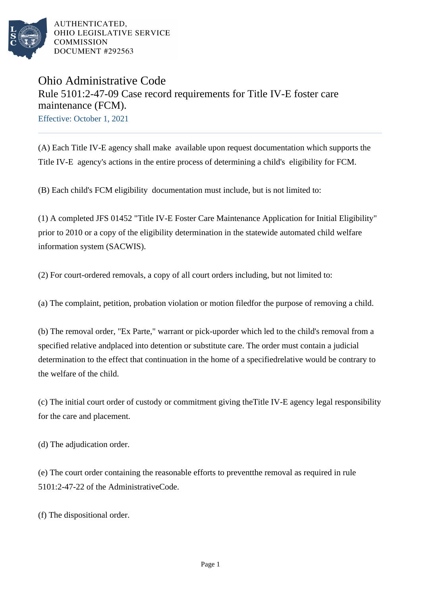

AUTHENTICATED. OHIO LEGISLATIVE SERVICE **COMMISSION** DOCUMENT #292563

## Ohio Administrative Code Rule 5101:2-47-09 Case record requirements for Title IV-E foster care maintenance (FCM).

Effective: October 1, 2021

(A) Each Title IV-E agency shall make available upon request documentation which supports the Title IV-E agency's actions in the entire process of determining a child's eligibility for FCM.

(B) Each child's FCM eligibility documentation must include, but is not limited to:

(1) A completed JFS 01452 "Title IV-E Foster Care Maintenance Application for Initial Eligibility" prior to 2010 or a copy of the eligibility determination in the statewide automated child welfare information system (SACWIS).

(2) For court-ordered removals, a copy of all court orders including, but not limited to:

(a) The complaint, petition, probation violation or motion filed for the purpose of removing a child.

(b) The removal order, "Ex Parte," warrant or pick-up order which led to the child's removal from a specified relative and placed into detention or substitute care. The order must contain a judicial determination to the effect that continuation in the home of a specified relative would be contrary to the welfare of the child.

(c) The initial court order of custody or commitment giving the Title IV-E agency legal responsibility for the care and placement.

(d) The adjudication order.

(e) The court order containing the reasonable efforts to prevent the removal as required in rule  $5101:2-47-22$  of the Administrative Code.

(f) The dispositional order.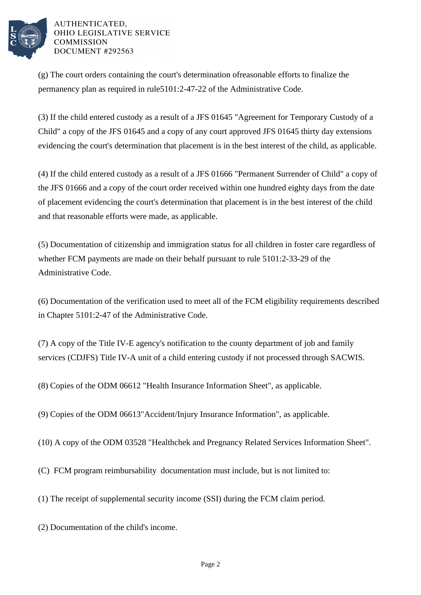

AUTHENTICATED. OHIO LEGISLATIVE SERVICE **COMMISSION** DOCUMENT #292563

 $(g)$  The court orders containing the court's determination of reasonable efforts to finalize the permanency plan as required in rule 5101:2-47-22 of the Administrative Code.

(3) If the child entered custody as a result of a JFS 01645 "Agreement for Temporary Custody of a Child" a copy of the JFS 01645 and a copy of any court approved JFS 01645 thirty day extensions evidencing the court's determination that placement is in the best interest of the child, as applicable.

(4) If the child entered custody as a result of a JFS 01666 "Permanent Surrender of Child" a copy of the JFS 01666 and a copy of the court order received within one hundred eighty days from the date of placement evidencing the court's determination that placement is in the best interest of the child and that reasonable efforts were made, as applicable.

(5) Documentation of citizenship and immigration status for all children in foster care regardless of whether FCM payments are made on their behalf pursuant to rule 5101:2-33-29 of the Administrative Code.

(6) Documentation of the verification used to meet all of the FCM eligibility requirements described in Chapter 5101:2-47 of the Administrative Code.

(7) A copy of the Title IV-E agency's notification to the county department of job and family services (CDJFS) Title IV-A unit of a child entering custody if not processed through SACWIS.

(8) Copies of the ODM 06612 "Health Insurance Information Sheet", as applicable.

(9) Copies of the ODM 06613"Accident/Injury Insurance Information", as applicable.

(10) A copy of the ODM 03528 "Healthchek and Pregnancy Related Services Information Sheet".

(C) FCM program reimbursability documentation must include, but is not limited to:

(1) The receipt of supplemental security income (SSI) during the FCM claim period.

(2) Documentation of the child's income.